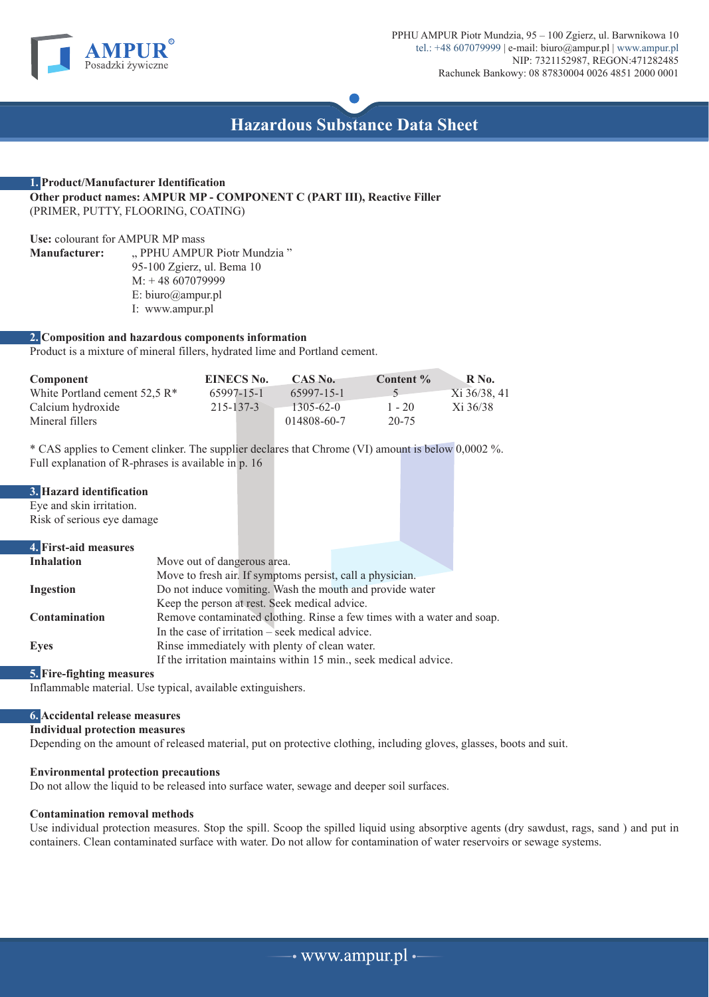



## **1. Product/Manufacturer Identification Other product names: AMPUR MP - COMPONENT C (PART III), Reactive Filler** (PRIMER, PUTTY, FLOORING, COATING)

**Use:** colourant for AMPUR MP mass " PPHU AMPUR Piotr Mundzia" 95-100 Zgierz, ul. Bema 10 M: + 48 607079999 E: biuro@ampur.pl I: www.ampur.pl

## **2. Composition and hazardous components information**

Product is a mixture of mineral fillers, hydrated lime and Portland cement.

| Component                                | EINECS No. | CAS No.         | Content % | R No.          |
|------------------------------------------|------------|-----------------|-----------|----------------|
| White Portland cement $52.5 \text{ R}^*$ | 65997-15-1 | 65997-15-1      |           | $Xi$ 36/38, 41 |
| Calcium hydroxide                        | 215-137-3  | $1305 - 62 - 0$ | $1 - 20$  | Xi 36/38       |
| Mineral fillers                          |            | 014808-60-7     | 20-75     |                |

\* CAS applies to Cement clinker. The supplier declares that Chrome (VI) amount is below 0,0002 %. Full explanation of R-phrases is available in p. 16

| 3. Hazard identification   |                                                                        |  |  |  |
|----------------------------|------------------------------------------------------------------------|--|--|--|
| Eye and skin irritation.   |                                                                        |  |  |  |
| Risk of serious eye damage |                                                                        |  |  |  |
| 4. First-aid measures      |                                                                        |  |  |  |
| <b>Inhalation</b>          | Move out of dangerous area.                                            |  |  |  |
|                            | Move to fresh air. If symptoms persist, call a physician.              |  |  |  |
| <b>Ingestion</b>           | Do not induce vomiting. Wash the mouth and provide water               |  |  |  |
|                            | Keep the person at rest. Seek medical advice.                          |  |  |  |
| <b>Contamination</b>       | Remove contaminated clothing. Rinse a few times with a water and soap. |  |  |  |
|                            | In the case of irritation $-\text{seek medical advice}$ .              |  |  |  |
| <b>Eyes</b>                | Rinse immediately with plenty of clean water.                          |  |  |  |
|                            | If the irritation maintains within 15 min., seek medical advice.       |  |  |  |

## **5. Fire-fighting measures**

Inflammable material. Use typical, available extinguishers.

# **6. Accidental release measures**

## **Individual protection measures**

Depending on the amount of released material, put on protective clothing, including gloves, glasses, boots and suit.

# **Environmental protection precautions**

Do not allow the liquid to be released into surface water, sewage and deeper soil surfaces.

# **Contamination removal methods**

Use individual protection measures. Stop the spill. Scoop the spilled liquid using absorptive agents (dry sawdust, rags, sand ) and put in containers. Clean contaminated surface with water. Do not allow for contamination of water reservoirs or sewage systems.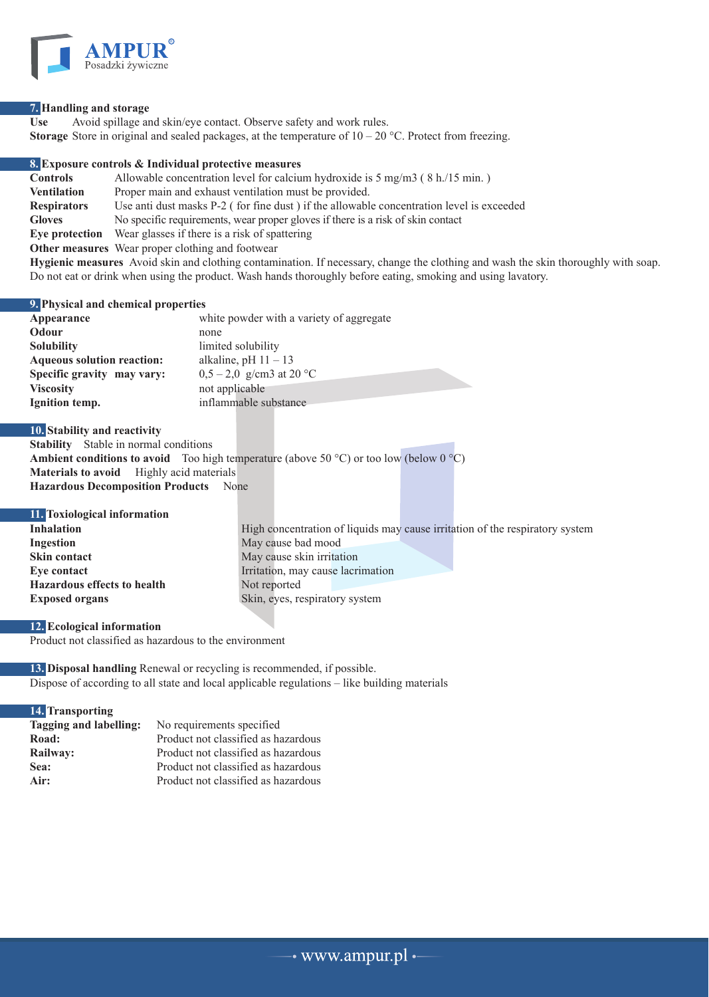

## **7. Handling and storage**

**Use** Avoid spillage and skin/eye contact. Observe safety and work rules. **Storage** Store in original and sealed packages, at the temperature of  $10 - 20$  °C. Protect from freezing.

**8. Exposure controls & Individual protective measures Controls** Allowable concentration level for calcium hydroxide is 5 mg/m3 (8 h./15 min.)<br>**Ventilation** Proper main and exhaust ventilation must be provided. Proper main and exhaust ventilation must be provided. **Respirators** Use anti dust masks P-2 ( for fine dust ) if the allowable concentration level is exceeded **Gloves** No specific requirements, wear proper gloves if there is a risk of skin contact **Eye protection** Wear glasses if there is a risk of spattering **Other measures** Wear proper clothing and footwear **Hygienic measures** Avoid skin and clothing contamination. If necessary, change the clothing and wash the skin thoroughly with soap.

Do not eat or drink when using the product. Wash hands thoroughly before eating, smoking and using lavatory.

**9. Physical and chemical properties**

| Appearance                        | white powder with a variety of aggregate |
|-----------------------------------|------------------------------------------|
| Odour                             | none                                     |
| <b>Solubility</b>                 | limited solubility                       |
| <b>Aqueous solution reaction:</b> | alkaline, pH $11 - 13$                   |
| Specific gravity may vary:        | $0,5-2,0$ g/cm3 at 20 °C                 |
| <b>Viscosity</b>                  | not applicable                           |
| Ignition temp.                    | inflammable substance                    |
|                                   |                                          |

**10. Stability and reactivity**

**Stability** Stable in normal conditions **Ambient conditions to avoid** Too high temperature (above 50 °C) or too low (below  $0 \text{ }^{\circ}C$ ) **Materials to avoid** Highly acid materials **Hazardous Decomposition Products** None

| 11. Toxiological information       |                                                                              |
|------------------------------------|------------------------------------------------------------------------------|
| <b>Inhalation</b>                  | High concentration of liquids may cause irritation of the respiratory system |
| Ingestion                          | May cause bad mood                                                           |
| Skin contact                       | May cause skin irritation                                                    |
| Eve contact                        | Irritation, may cause lacrimation                                            |
| <b>Hazardous effects to health</b> | Not reported                                                                 |
| <b>Exposed organs</b>              | Skin, eyes, respiratory system                                               |
|                                    |                                                                              |

# **12. Ecological information**

Product not classified as hazardous to the environment

**13. Disposal handling** Renewal or recycling is recommended, if possible. Dispose of according to all state and local applicable regulations – like building materials

## **14. Transporting**

| Tagging and labelling: | No requirements specified           |
|------------------------|-------------------------------------|
| Road:                  | Product not classified as hazardous |
| Railway:               | Product not classified as hazardous |
| Sea:                   | Product not classified as hazardous |
| Air:                   | Product not classified as hazardous |